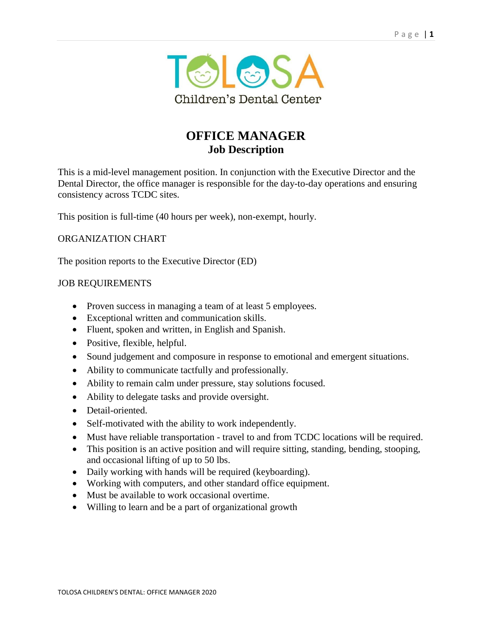

# **OFFICE MANAGER Job Description**

This is a mid-level management position. In conjunction with the Executive Director and the Dental Director, the office manager is responsible for the day-to-day operations and ensuring consistency across TCDC sites.

This position is full-time (40 hours per week), non-exempt, hourly.

## ORGANIZATION CHART

The position reports to the Executive Director (ED)

#### JOB REQUIREMENTS

- Proven success in managing a team of at least 5 employees.
- Exceptional written and communication skills.
- Fluent, spoken and written, in English and Spanish.
- Positive, flexible, helpful.
- Sound judgement and composure in response to emotional and emergent situations.
- Ability to communicate tactfully and professionally.
- Ability to remain calm under pressure, stay solutions focused.
- Ability to delegate tasks and provide oversight.
- Detail-oriented.
- Self-motivated with the ability to work independently.
- Must have reliable transportation travel to and from TCDC locations will be required.
- This position is an active position and will require sitting, standing, bending, stooping, and occasional lifting of up to 50 lbs.
- Daily working with hands will be required (keyboarding).
- Working with computers, and other standard office equipment.
- Must be available to work occasional overtime.
- Willing to learn and be a part of organizational growth